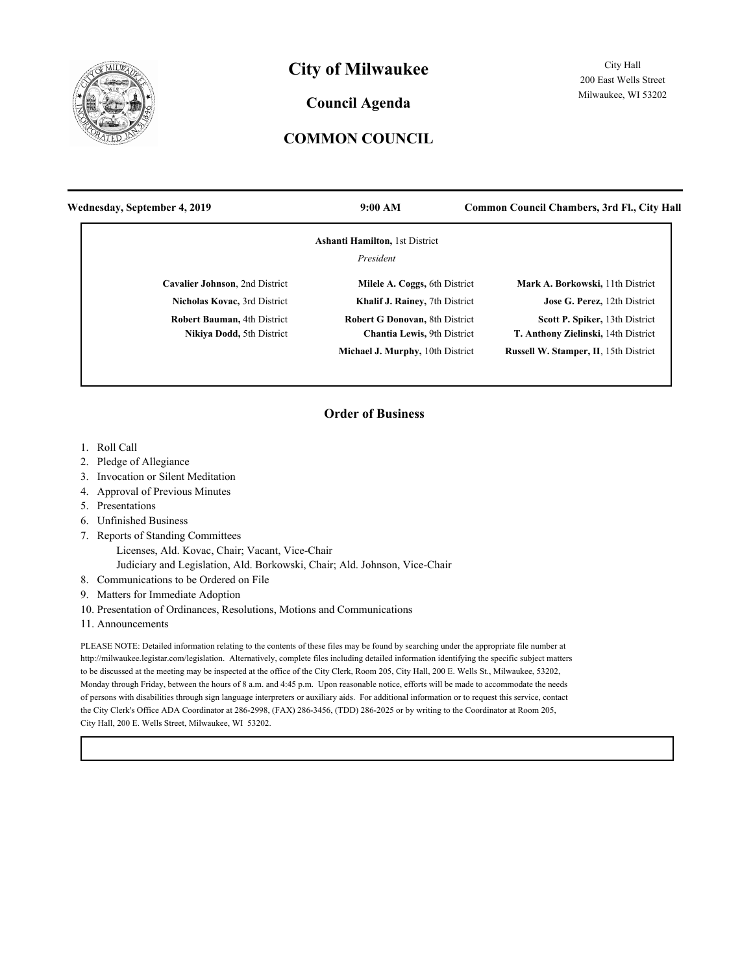

# **City of Milwaukee**

### **Council Agenda**

## **COMMON COUNCIL**

| Wednesday, September 4, 2019                                    | 9:00 AM                                                                      | <b>Common Council Chambers, 3rd Fl., City Hall</b>                    |
|-----------------------------------------------------------------|------------------------------------------------------------------------------|-----------------------------------------------------------------------|
|                                                                 | <b>Ashanti Hamilton, 1st District</b>                                        |                                                                       |
|                                                                 | President                                                                    |                                                                       |
| Cavalier Johnson, 2nd District                                  | Milele A. Coggs, 6th District                                                | Mark A. Borkowski, 11th District                                      |
| Nicholas Kovac, 3rd District                                    | Khalif J. Rainey, 7th District                                               | Jose G. Perez, 12th District                                          |
| <b>Robert Bauman, 4th District</b><br>Nikiya Dodd, 5th District | <b>Robert G Donovan, 8th District</b><br><b>Chantia Lewis</b> , 9th District | Scott P. Spiker, 13th District<br>T. Anthony Zielinski, 14th District |
|                                                                 | Michael J. Murphy, 10th District                                             | Russell W. Stamper, II, 15th District                                 |

#### **Order of Business**

- 1. Roll Call
- 2. Pledge of Allegiance
- 3. Invocation or Silent Meditation
- 4. Approval of Previous Minutes
- 5. Presentations
- 6. Unfinished Business
- 7. Reports of Standing Committees
	- Licenses, Ald. Kovac, Chair; Vacant, Vice-Chair
	- Judiciary and Legislation, Ald. Borkowski, Chair; Ald. Johnson, Vice-Chair
- 8. Communications to be Ordered on File
- 9. Matters for Immediate Adoption
- 10. Presentation of Ordinances, Resolutions, Motions and Communications
- 11. Announcements

PLEASE NOTE: Detailed information relating to the contents of these files may be found by searching under the appropriate file number at http://milwaukee.legistar.com/legislation. Alternatively, complete files including detailed information identifying the specific subject matters to be discussed at the meeting may be inspected at the office of the City Clerk, Room 205, City Hall, 200 E. Wells St., Milwaukee, 53202, Monday through Friday, between the hours of 8 a.m. and 4:45 p.m. Upon reasonable notice, efforts will be made to accommodate the needs of persons with disabilities through sign language interpreters or auxiliary aids. For additional information or to request this service, contact the City Clerk's Office ADA Coordinator at 286-2998, (FAX) 286-3456, (TDD) 286-2025 or by writing to the Coordinator at Room 205, City Hall, 200 E. Wells Street, Milwaukee, WI 53202.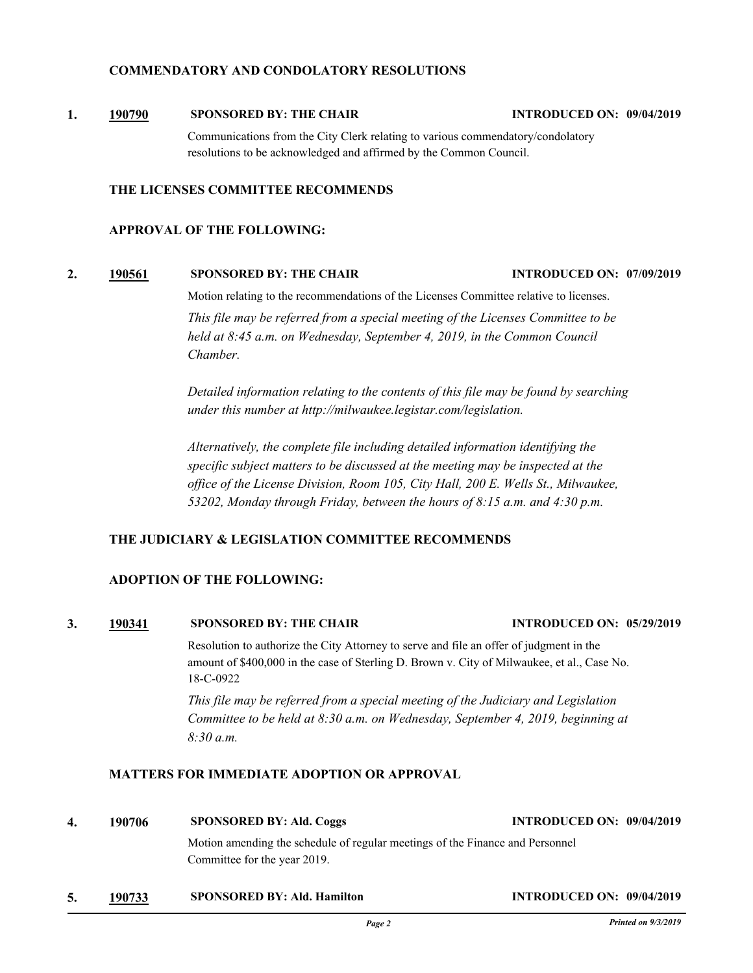#### **COMMENDATORY AND CONDOLATORY RESOLUTIONS**

**1. [190790](http://milwaukee.legistar.com/gateway.aspx?m=l&id=52510) SPONSORED BY: THE CHAIR INTRODUCED ON: 09/04/2019**

Communications from the City Clerk relating to various commendatory/condolatory resolutions to be acknowledged and affirmed by the Common Council.

#### **THE LICENSES COMMITTEE RECOMMENDS**

#### **APPROVAL OF THE FOLLOWING:**

#### **2. [190561](http://milwaukee.legistar.com/gateway.aspx?m=l&id=52113) SPONSORED BY: THE CHAIR INTRODUCED ON: 07/09/2019**

Motion relating to the recommendations of the Licenses Committee relative to licenses.

*This file may be referred from a special meeting of the Licenses Committee to be held at 8:45 a.m. on Wednesday, September 4, 2019, in the Common Council Chamber.*

*Detailed information relating to the contents of this file may be found by searching under this number at http://milwaukee.legistar.com/legislation.*

*Alternatively, the complete file including detailed information identifying the specific subject matters to be discussed at the meeting may be inspected at the office of the License Division, Room 105, City Hall, 200 E. Wells St., Milwaukee, 53202, Monday through Friday, between the hours of 8:15 a.m. and 4:30 p.m.*

#### **THE JUDICIARY & LEGISLATION COMMITTEE RECOMMENDS**

#### **ADOPTION OF THE FOLLOWING:**

# **3. [190341](http://milwaukee.legistar.com/gateway.aspx?m=l&id=51813) SPONSORED BY: THE CHAIR INTRODUCED ON: 05/29/2019**

Resolution to authorize the City Attorney to serve and file an offer of judgment in the amount of \$400,000 in the case of Sterling D. Brown v. City of Milwaukee, et al., Case No. 18-C-0922

*This file may be referred from a special meeting of the Judiciary and Legislation Committee to be held at 8:30 a.m. on Wednesday, September 4, 2019, beginning at 8:30 a.m.*

#### **MATTERS FOR IMMEDIATE ADOPTION OR APPROVAL**

- **4. 190706 SPONSORED BY: Ald. Coggs INTRODUCED ON: 09/04/2019** Motion amending the schedule of regular meetings of the Finance and Personnel Committee for the year 2019.
- **5. [190733](http://milwaukee.legistar.com/gateway.aspx?m=l&id=52417) SPONSORED BY: Ald. Hamilton INTRODUCED ON: 09/04/2019**